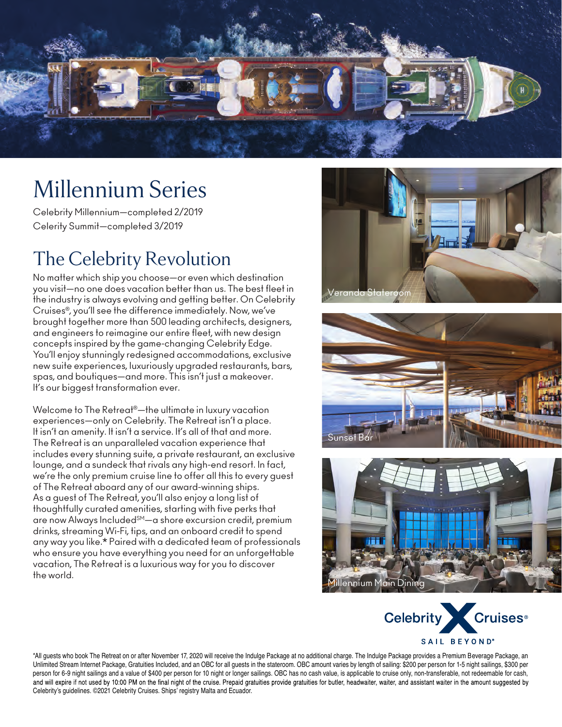

## Millennium Series

Celebrity Millennium—completed 2/2019 Celerity Summit—completed 3/2019

## The Celebrity Revolution

No matter which ship you choose—or even which destination you visit—no one does vacation better than us. The best fleet in the industry is always evolving and getting better. On Celebrity Cruises®, you'll see the difference immediately. Now, we've brought together more than 500 leading architects, designers, and engineers to reimagine our entire fleet, with new design concepts inspired by the game-changing Celebrity Edge. You'll enjoy stunningly redesigned accommodations, exclusive new suite experiences, luxuriously upgraded restaurants, bars, spas, and boutiques—and more. This isn't just a makeover. It's our biggest transformation ever.

Welcome to The Retreat®—the ultimate in luxury vacation experiences—only on Celebrity. The Retreat isn't a place. It isn't an amenity. It isn't a service. It's all of that and more. The Retreat is an unparalleled vacation experience that includes every stunning suite, a private restaurant, an exclusive lounge, and a sundeck that rivals any high-end resort. In fact, we're the only premium cruise line to offer all this to every guest of The Retreat aboard any of our award-winning ships. As a guest of The Retreat, you'll also enjoy a long list of thoughtfully curated amenities, starting with five perks that are now Always Included<sup>SM</sup>-a shore excursion credit, premium drinks, streaming Wi-Fi, tips, and an onboard credit to spend any way you like.\* Paired with a dedicated team of professionals who ensure you have everything you need for an unforgettable vacation, The Retreat is a luxurious way for you to discover the world.









\*All guests who book The Retreat on or after November 17, 2020 will receive the Indulge Package at no additional charge. The Indulge Package provides a Premium Beverage Package, an Unlimited Stream Internet Package, Gratuities Included, and an OBC for all quests in the stateroom. OBC amount varies by length of sailing: \$200 per person for 1-5 night sailings, \$300 per person for 6-9 night sailings and a value of \$400 per person for 10 night or longer sailings. OBC has no cash value, is applicable to cruise only, non-transferable, not redeemable for cash, and will expire if not used by 10:00 PM on the final night of the cruise. Prepaid gratuities provide gratuities for butler, headwaiter, waiter, and assistant waiter in the amount suggested by Celebrity's guidelines. ©2021 Celebrity Cruises. Ships' registry Malta and Ecuador.